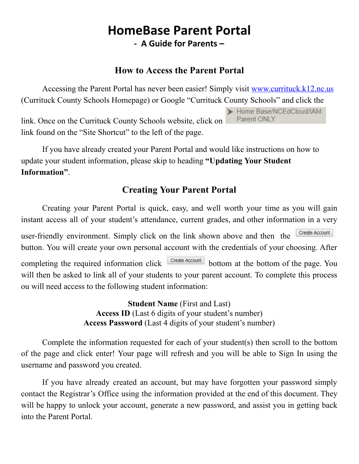# HomeBase Parent Portal - A Guide for Parents –

#### How to Access the Parent Portal

Accessing the Parent Portal has never been easier! Simply visit [www.currituck.k12.nc.us](http://www.currituck.k12.nc.us/) (Currituck County Schools Homepage) or Google "Currituck County Schools" and click the

link. Once on the Currituck County Schools website, click on link found on the "Site Shortcut" to the left of the page.

If you have already created your Parent Portal and would like instructions on how to update your student information, please skip to heading "Updating Your Student Information".

### Creating Your Parent Portal

Creating your Parent Portal is quick, easy, and well worth your time as you will gain instant access all of your student's attendance, current grades, and other information in a very Create Account user-friendly environment. Simply click on the link shown above and then the button. You will create your own personal account with the credentials of your choosing. After completing the required information click **create Account** bottom at the bottom of the page. You will then be asked to link all of your students to your parent account. To complete this process ou will need access to the following student information:

> Student Name (First and Last) Access ID (Last 6 digits of your student's number) Access Password (Last 4 digits of your student's number)

Complete the information requested for each of your student(s) then scroll to the bottom of the page and click enter! Your page will refresh and you will be able to Sign In using the username and password you created.

If you have already created an account, but may have forgotten your password simply contact the Registrar's Office using the information provided at the end of this document. They will be happy to unlock your account, generate a new password, and assist you in getting back into the Parent Portal.

Home Base/NCEdCloud/IAM: Parent ONLY